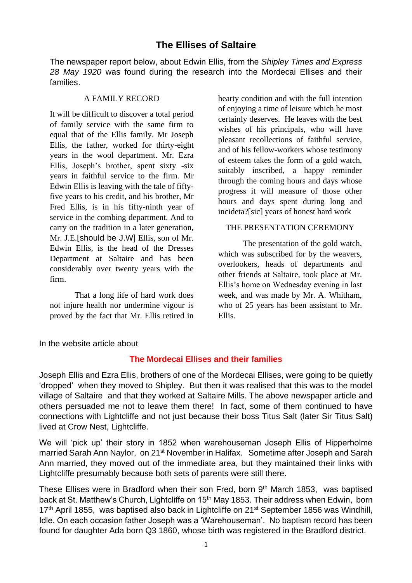# **The Ellises of Saltaire**

The newspaper report below, about Edwin Ellis, from the *Shipley Times and Express 28 May 1920* was found during the research into the Mordecai Ellises and their families.

#### A FAMILY RECORD

It will be difficult to discover a total period of family service with the same firm to equal that of the Ellis family. Mr Joseph Ellis, the father, worked for thirty-eight years in the wool department. Mr. Ezra Ellis, Joseph's brother, spent sixty -six years in faithful service to the firm. Mr Edwin Ellis is leaving with the tale of fiftyfive years to his credit, and his brother, Mr Fred Ellis, is in his fifty-ninth year of service in the combing department. And to carry on the tradition in a later generation, Mr. J.E.[should be J.W] Ellis, son of Mr. Edwin Ellis, is the head of the Dresses Department at Saltaire and has been considerably over twenty years with the firm.

That a long life of hard work does not injure health nor undermine vigour is proved by the fact that Mr. Ellis retired in hearty condition and with the full intention of enjoying a time of leisure which he most certainly deserves. He leaves with the best wishes of his principals, who will have pleasant recollections of faithful service, and of his fellow-workers whose testimony of esteem takes the form of a gold watch, suitably inscribed, a happy reminder through the coming hours and days whose progress it will measure of those other hours and days spent during long and incideta?[sic] years of honest hard work

## THE PRESENTATION CEREMONY

The presentation of the gold watch, which was subscribed for by the weavers, overlookers, heads of departments and other friends at Saltaire, took place at Mr. Ellis's home on Wednesday evening in last week, and was made by Mr. A. Whitham, who of 25 years has been assistant to Mr. Ellis.

In the website article about

# **The Mordecai Ellises and their families**

Joseph Ellis and Ezra Ellis, brothers of one of the Mordecai Ellises, were going to be quietly 'dropped' when they moved to Shipley. But then it was realised that this was to the model village of Saltaire and that they worked at Saltaire Mills. The above newspaper article and others persuaded me not to leave them there! In fact, some of them continued to have connections with Lightcliffe and not just because their boss Titus Salt (later Sir Titus Salt) lived at Crow Nest, Lightcliffe.

We will 'pick up' their story in 1852 when warehouseman Joseph Ellis of Hipperholme married Sarah Ann Naylor, on 21<sup>st</sup> November in Halifax. Sometime after Joseph and Sarah Ann married, they moved out of the immediate area, but they maintained their links with Lightcliffe presumably because both sets of parents were still there.

These Ellises were in Bradford when their son Fred, born 9<sup>th</sup> March 1853, was baptised back at St. Matthew's Church, Lightcliffe on 15<sup>th</sup> May 1853. Their address when Edwin, born 17<sup>th</sup> April 1855, was baptised also back in Lightcliffe on 21<sup>st</sup> September 1856 was Windhill, Idle. On each occasion father Joseph was a 'Warehouseman'. No baptism record has been found for daughter Ada born Q3 1860, whose birth was registered in the Bradford district.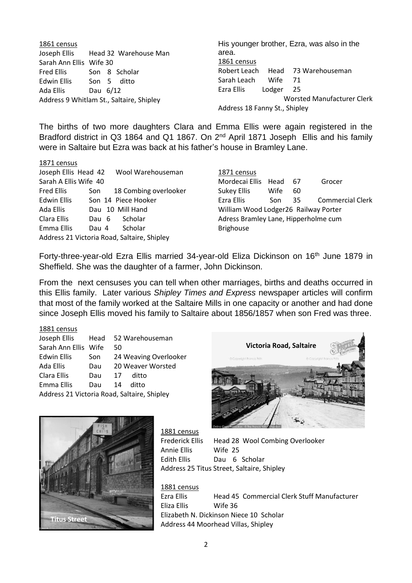| 1861 census                              |                                    | His younger brother, Ezra, was also in the |                                   |  |
|------------------------------------------|------------------------------------|--------------------------------------------|-----------------------------------|--|
|                                          | Joseph Ellis Head 32 Warehouse Man | area.                                      |                                   |  |
| Sarah Ann Ellis Wife 30                  |                                    | 1861 census                                |                                   |  |
| Fred Ellis                               | Son 8 Scholar                      | Robert Leach Head 73 Warehouseman          |                                   |  |
| Edwin Ellis                              | Son 5 ditto                        | Sarah Leach<br>Wife<br>71                  |                                   |  |
| Ada Ellis                                | Dau 6/12                           | Ezra Ellis<br>Lodger<br>- 25               |                                   |  |
| Address 9 Whitlam St., Saltaire, Shipley |                                    |                                            | <b>Worsted Manufacturer Clerk</b> |  |
|                                          |                                    | Address 18 Fanny St., Shipley              |                                   |  |

The births of two more daughters Clara and Emma Ellis were again registered in the Bradford district in Q3 1864 and Q1 1867. On 2<sup>nd</sup> April 1871 Joseph Ellis and his family were in Saltaire but Ezra was back at his father's house in Bramley Lane.

#### 1871 census

|                                             |  | Joseph Ellis Head 42 Wool Warehouseman |  |  |  |
|---------------------------------------------|--|----------------------------------------|--|--|--|
| Sarah A Ellis Wife 40                       |  |                                        |  |  |  |
| <b>Fred Ellis</b>                           |  | Son 18 Combing overlooker              |  |  |  |
| <b>Edwin Ellis</b>                          |  | Son 14 Piece Hooker                    |  |  |  |
| Ada Ellis                                   |  | Dau 10 Mill Hand                       |  |  |  |
| Clara Ellis                                 |  | Dau 6 Scholar                          |  |  |  |
| Emma Ellis                                  |  | Dau 4 Scholar                          |  |  |  |
| Address 21 Victoria Road, Saltaire, Shipley |  |                                        |  |  |  |

1871 census Mordecai Ellis Head 67 Grocer Sukey Ellis Wife 60 Ezra Ellis Son 35 Commercial Clerk William Wood Lodger26 Railway Porter Adress Bramley Lane, Hipperholme cum Brighouse

Forty-three-year-old Ezra Ellis married 34-year-old Eliza Dickinson on 16<sup>th</sup> June 1879 in Sheffield. She was the daughter of a farmer, John Dickinson.

From the next censuses you can tell when other marriages, births and deaths occurred in this Ellis family. Later various *Shipley Times and Express* newspaper articles will confirm that most of the family worked at the Saltaire Mills in one capacity or another and had done since Joseph Ellis moved his family to Saltaire about 1856/1857 when son Fred was three.

#### 1881 census

|                                             |     | Joseph Ellis Head 52 Warehouseman |  |  |  |  |
|---------------------------------------------|-----|-----------------------------------|--|--|--|--|
| Sarah Ann Ellis Wife                        |     | 50                                |  |  |  |  |
| <b>Edwin Ellis</b>                          | Son | 24 Weaving Overlooker             |  |  |  |  |
| Ada Ellis                                   | Dau | 20 Weaver Worsted                 |  |  |  |  |
| Clara Ellis                                 | Dau | ditto<br>17                       |  |  |  |  |
| Emma Ellis                                  | Dau | 14<br>ditto                       |  |  |  |  |
| Address 21 Victoria Road, Saltaire, Shipley |     |                                   |  |  |  |  |





1881 census Annie Ellis Wife 25

Frederick Ellis Head 28 Wool Combing Overlooker Edith Ellis Dau 6 Scholar Address 25 Titus Street, Saltaire, Shipley

1881 census Ezra Ellis Head 45 Commercial Clerk Stuff Manufacturer Eliza Ellis Wife 36 Elizabeth N. Dickinson Niece 10 Scholar Address 44 Moorhead Villas, Shipley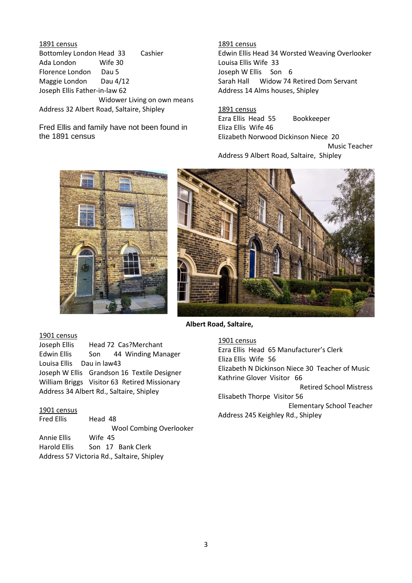1891 census Bottomley London Head 33 Cashier Ada London Wife 30 Florence London Dau 5 Maggie London Dau 4/12 Joseph Ellis Father-in-law 62 Widower Living on own means Address 32 Albert Road, Saltaire, Shipley

Fred Ellis and family have not been found in the 1891 census

1891 census Edwin Ellis Head 34 Worsted Weaving Overlooker Louisa Ellis Wife 33 Joseph W Ellis Son 6 Sarah Hall Widow 74 Retired Dom Servant Address 14 Alms houses, Shipley

1891 census Ezra Ellis Head 55 Bookkeeper Eliza Ellis Wife 46 Elizabeth Norwood Dickinson Niece 20 Music Teacher Address 9 Albert Road, Saltaire, Shipley





Address 245 Keighley Rd., Shipley

#### **Albert Road, Saltaire,**

1901 census Ezra Ellis Head 65 Manufacturer's Clerk Eliza Ellis Wife 56 Elizabeth N Dickinson Niece 30 Teacher of Music Kathrine Glover Visitor 66 Retired School Mistress Elisabeth Thorpe Visitor 56 Elementary School Teacher **Shipley**

1901 census

Joseph Ellis Head 72 Cas?Merchant Edwin Ellis Son 44 Winding Manager Louisa Ellis Dau in law43 Joseph W Ellis Grandson 16 Textile Designer William Briggs Visitor 63 Retired Missionary Address 34 Albert Rd., Saltaire, Shipley

#### 1901 census

Fred Ellis Head 48 Wool Combing Overlooker Annie Ellis Wife 45 Harold Ellis Son 17 Bank Clerk Address 57 Victoria Rd., Saltaire, Shipley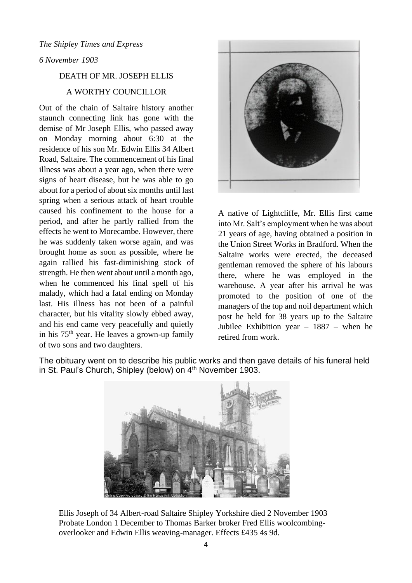#### *6 November 1903*

## DEATH OF MR. JOSEPH ELLIS

## A WORTHY COUNCILLOR

Out of the chain of Saltaire history another staunch connecting link has gone with the demise of Mr Joseph Ellis, who passed away on Monday morning about 6:30 at the residence of his son Mr. Edwin Ellis 34 Albert Road, Saltaire. The commencement of his final illness was about a year ago, when there were signs of heart disease, but he was able to go about for a period of about six months until last spring when a serious attack of heart trouble caused his confinement to the house for a period, and after he partly rallied from the effects he went to Morecambe. However, there he was suddenly taken worse again, and was brought home as soon as possible, where he again rallied his fast-diminishing stock of strength. He then went about until a month ago, when he commenced his final spell of his malady, which had a fatal ending on Monday last. His illness has not been of a painful character, but his vitality slowly ebbed away, and his end came very peacefully and quietly in his  $75<sup>th</sup>$  year. He leaves a grown-up family of two sons and two daughters.



A native of Lightcliffe, Mr. Ellis first came into Mr. Salt's employment when he was about 21 years of age, having obtained a position in the Union Street Works in Bradford. When the Saltaire works were erected, the deceased gentleman removed the sphere of his labours there, where he was employed in the warehouse. A year after his arrival he was promoted to the position of one of the managers of the top and noil department which post he held for 38 years up to the Saltaire Jubilee Exhibition year – 1887 – when he retired from work.



The obituary went on to describe his public works and then gave details of his funeral held in St. Paul's Church, Shipley (below) on 4<sup>th</sup> November 1903.

Ellis Joseph of 34 Albert-road Saltaire Shipley Yorkshire died 2 November 1903 Probate London 1 December to Thomas Barker broker Fred Ellis woolcombingoverlooker and Edwin Ellis weaving-manager. Effects £435 4s 9d.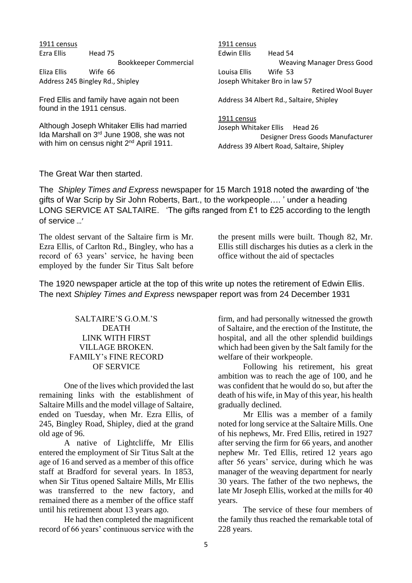1911 census Ezra Ellis Head 75 Bookkeeper Commercial Eliza Ellis Wife 66 Address 245 Bingley Rd., Shipley

Fred Ellis and family have again not been found in the 1911 census.

Although Joseph Whitaker Ellis had married Ida Marshall on 3<sup>rd</sup> June 1908, she was not with him on census night 2<sup>nd</sup> April 1911.

1911 census Edwin Ellis Head 54 Weaving Manager Dress Good Louisa Ellis Wife 53 Joseph Whitaker Bro in law 57 Retired Wool Buyer Address 34 Albert Rd., Saltaire, Shipley

1911 census Joseph Whitaker Ellis Head 26 Designer Dress Goods Manufacturer Address 39 Albert Road, Saltaire, Shipley

#### The Great War then started.

The *Shipley Times and Express* newspaper for 15 March 1918 noted the awarding of 'the gifts of War Scrip by Sir John Roberts, Bart., to the workpeople…. ' under a heading LONG SERVICE AT SALTAIRE. 'The gifts ranged from £1 to £25 according to the length of service …'

The oldest servant of the Saltaire firm is Mr. Ezra Ellis, of Carlton Rd., Bingley, who has a record of 63 years' service, he having been employed by the funder Sir Titus Salt before

the present mills were built. Though 82, Mr. Ellis still discharges his duties as a clerk in the office without the aid of spectacles

The 1920 newspaper article at the top of this write up notes the retirement of Edwin Ellis. The next *Shipley Times and Express* newspaper report was from 24 December 1931

## SALTAIRE'S G.O.M.'S DEATH LINK WITH FIRST VILLAGE BROKEN. FAMILY's FINE RECORD OF SERVICE

One of the lives which provided the last remaining links with the establishment of Saltaire Mills and the model village of Saltaire, ended on Tuesday, when Mr. Ezra Ellis, of 245, Bingley Road, Shipley, died at the grand old age of 96.

A native of Lightcliffe, Mr Ellis entered the employment of Sir Titus Salt at the age of 16 and served as a member of this office staff at Bradford for several years. In 1853, when Sir Titus opened Saltaire Mills, Mr Ellis was transferred to the new factory, and remained there as a member of the office staff until his retirement about 13 years ago.

He had then completed the magnificent record of 66 years' continuous service with the

firm, and had personally witnessed the growth of Saltaire, and the erection of the Institute, the hospital, and all the other splendid buildings which had been given by the Salt family for the welfare of their workpeople.

Following his retirement, his great ambition was to reach the age of 100, and he was confident that he would do so, but after the death of his wife, in May of this year, his health gradually declined.

Mr Ellis was a member of a family noted for long service at the Saltaire Mills. One of his nephews, Mr. Fred Ellis, retired in 1927 after serving the firm for 66 years, and another nephew Mr. Ted Ellis, retired 12 years ago after 56 years' service, during which he was manager of the weaving department for nearly 30 years. The father of the two nephews, the late Mr Joseph Ellis, worked at the mills for 40 years.

The service of these four members of the family thus reached the remarkable total of 228 years.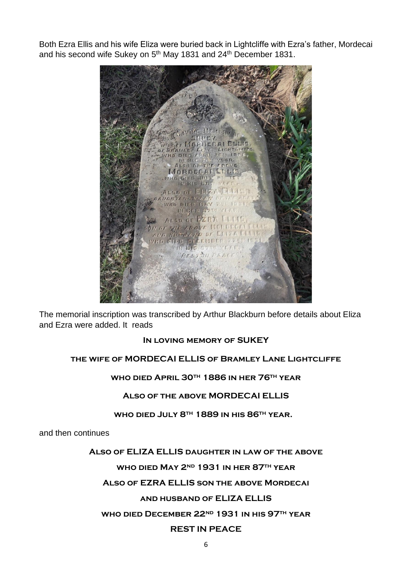Both Ezra Ellis and his wife Eliza were buried back in Lightcliffe with Ezra's father, Mordecai and his second wife Sukey on 5<sup>th</sup> May 1831 and 24<sup>th</sup> December 1831.



The memorial inscription was transcribed by Arthur Blackburn before details about Eliza and Ezra were added. It reads

## **In loving memory of SUKEY**

# **the wife of MORDECAI ELLIS of Bramley Lane Lightcliffe**

## **who died April 30th 1886 in her 76th year**

## **Also of the above MORDECAI ELLIS**

## **who died July 8th 1889 in his 86th year.**

and then continues

# **Also of ELIZA ELLIS daughter in law of the above**

# **who died May 2nd 1931 in her 87th year**

# **Also of EZRA ELLIS son the above Mordecai**

# **and husband of ELIZA ELLIS**

# **who died December 22nd 1931 in his 97th year**

# **REST IN PEACE**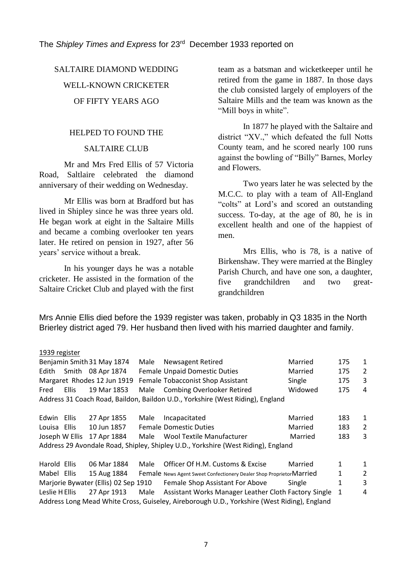The *Shipley Times and Express* for 23rd December 1933 reported on

# SALTAIRE DIAMOND WEDDING WELL-KNOWN CRICKETER OF FIFTY YEARS AGO

#### HELPED TO FOUND THE

## SALTAIRE CLUB

Mr and Mrs Fred Ellis of 57 Victoria Road, Saltlaire celebrated the diamond anniversary of their wedding on Wednesday.

Mr Ellis was born at Bradford but has lived in Shipley since he was three years old. He began work at eight in the Saltaire Mills and became a combing overlooker ten years later. He retired on pension in 1927, after 56 years' service without a break.

In his younger days he was a notable cricketer. He assisted in the formation of the Saltaire Cricket Club and played with the first team as a batsman and wicketkeeper until he retired from the game in 1887. In those days the club consisted largely of employers of the Saltaire Mills and the team was known as the "Mill boys in white".

In 1877 he played with the Saltaire and district "XV.," which defeated the full Notts County team, and he scored nearly 100 runs against the bowling of "Billy" Barnes, Morley and Flowers.

Two years later he was selected by the M.C.C. to play with a team of All-England "colts" at Lord's and scored an outstanding success. To-day, at the age of 80, he is in excellent health and one of the happiest of men.

Mrs Ellis, who is 78, is a native of Birkenshaw. They were married at the Bingley Parish Church, and have one son, a daughter, five grandchildren and two greatgrandchildren

Mrs Annie Ellis died before the 1939 register was taken, probably in Q3 1835 in the North Brierley district aged 79. Her husband then lived with his married daughter and family.

#### 1939 register

|                                                                                   |       | Benjamin Smith 31 May 1874           | Male | <b>Newsagent Retired</b>                                                    | Married | 175 | $\mathbf{1}$   |
|-----------------------------------------------------------------------------------|-------|--------------------------------------|------|-----------------------------------------------------------------------------|---------|-----|----------------|
| Edith                                                                             |       | Smith 08 Apr 1874                    |      | <b>Female Unpaid Domestic Duties</b>                                        | Married | 175 | 2              |
|                                                                                   |       | Margaret Rhodes 12 Jun 1919          |      | Female Tobacconist Shop Assistant                                           | Single  | 175 | 3              |
| Fred                                                                              | Ellis | 19 Mar 1853                          | Male | <b>Combing Overlooker Retired</b>                                           | Widowed | 175 | 4              |
| Address 31 Coach Road, Baildon, Baildon U.D., Yorkshire (West Riding), England    |       |                                      |      |                                                                             |         |     |                |
|                                                                                   |       |                                      |      |                                                                             |         |     |                |
| Edwin Ellis                                                                       |       | 27 Apr 1855                          | Male | Incapacitated                                                               | Married | 183 | 1              |
| Louisa Ellis                                                                      |       | 10 Jun 1857                          |      | <b>Female Domestic Duties</b>                                               | Married | 183 | 2              |
| Joseph W Ellis                                                                    |       | 17 Apr 1884                          | Male | <b>Wool Textile Manufacturer</b>                                            | Married | 183 | 3              |
| Address 29 Avondale Road, Shipley, Shipley U.D., Yorkshire (West Riding), England |       |                                      |      |                                                                             |         |     |                |
|                                                                                   |       |                                      |      |                                                                             |         |     |                |
| Harold Ellis                                                                      |       | 06 Mar 1884                          | Male | Officer Of H.M. Customs & Excise                                            | Married | 1   | 1              |
| Mabel Ellis                                                                       |       | 15 Aug 1884                          |      | <b>Female</b> News Agent Sweet Confectionery Dealer Shop Proprietor Married |         | 1   | $\overline{2}$ |
|                                                                                   |       | Marjorie Bywater (Ellis) 02 Sep 1910 |      | Female Shop Assistant For Above                                             | Single  | 1   | 3              |
| Leslie H Ellis                                                                    |       | 27 Apr 1913                          | Male | Assistant Works Manager Leather Cloth Factory Single                        |         | 1   | 4              |

Address Long Mead White Cross, Guiseley, Aireborough U.D., Yorkshire (West Riding), England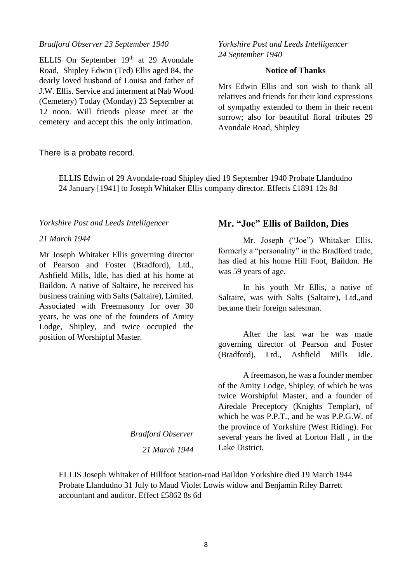## *Bradford Observer 23 September 1940*

ELLIS On September 19<sup>th</sup> at 29 Avondale Road, Shipley Edwin (Ted) Ellis aged 84, the dearly loved husband of Louisa and father of J.W. Ellis. Service and interment at Nab Wood (Cemetery) Today (Monday) 23 September at 12 noon. Will friends please meet at the cemetery and accept this the only intimation.

#### There is a probate record.

ELLIS Edwin of 29 Avondale-road Shipley died 19 September 1940 Probate Llandudno 24 January [1941] to Joseph Whitaker Ellis company director. Effects £1891 12s 8d

#### *Yorkshire Post and Leeds Intelligencer*

#### *21 March 1944*

Mr Joseph Whitaker Ellis governing director of Pearson and Foster (Bradford), Ltd., Ashfield Mills, Idle, has died at his home at Baildon. A native of Saltaire, he received his business training with Salts (Saltaire), Limited. Associated with Freemasonry for over 30 years, he was one of the founders of Amity Lodge, Shipley, and twice occupied the position of Worshipful Master.

*Yorkshire Post and Leeds Intelligencer 24 September 1940*

# **Notice of Thanks**

Mrs Edwin Ellis and son wish to thank all relatives and friends for their kind expressions of sympathy extended to them in their recent sorrow; also for beautiful floral tributes 29 Avondale Road, Shipley

#### **Mr. "Joe" Ellis of Baildon, Dies**

Mr. Joseph ("Joe") Whitaker Ellis, formerly a "personality" in the Bradford trade, has died at his home Hill Foot, Baildon. He was 59 years of age.

In his youth Mr Ellis, a native of Saltaire, was with Salts (Saltaire), Ltd.,and became their foreign salesman.

After the last war he was made governing director of Pearson and Foster (Bradford), Ltd., Ashfield Mills Idle.

A freemason, he was a founder member of the Amity Lodge, Shipley, of which he was twice Worshipful Master, and a founder of Airedale Preceptory (Knights Templar), of which he was P.P.T., and he was P.P.G.W. of the province of Yorkshire (West Riding). For several years he lived at Lorton Hall , in the Lake District.

ELLIS Joseph Whitaker of Hillfoot Station-road Baildon Yorkshire died 19 March 1944 Probate Llandudno 31 July to Maud Violet Lowis widow and Benjamin Riley Barrett accountant and auditor. Effect £5862 8s 6d

*Bradford Observer*

*21 March 1944*